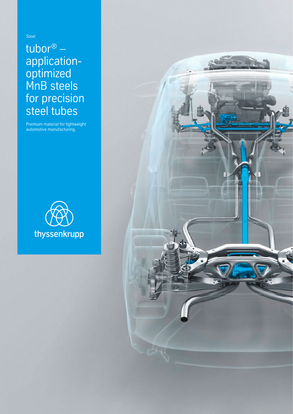Steel

# tubor® – applicationoptimized MnB steels for precision steel tubes

Premium material for lightweight automotive manufacturing.



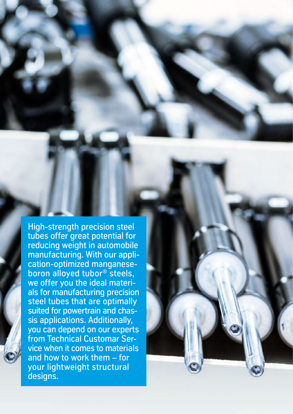High-strength precision steel tubes offer great potential for reducing weight in automobile manufacturing. With our application-optimized manganeseboron alloyed tubor® steels, we offer you the ideal materials for manufacturing precision steel tubes that are optimally suited for powertrain and chassis applications. Additionally, you can depend on our experts from Technical Customar Service when it comes to materials and how to work them – for your lightweight structural designs.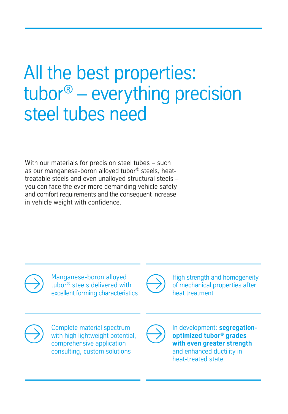# All the best properties: tubor® – everything precision steel tubes need

With our materials for precision steel tubes – such as our manganese-boron alloyed tubor® steels, heattreatable steels and even unalloyed structural steels – you can face the ever more demanding vehicle safety and comfort requirements and the consequent increase in vehicle weight with confidence.



Manganese-boron alloyed tubor® steels delivered with excellent forming characteristics



High strength and homogeneity of mechanical properties after heat treatment



Complete material spectrum with high lightweight potential, comprehensive application consulting, custom solutions



In development: **segregationoptimized tubor® grades with even greater strength** and enhanced ductility in heat-treated state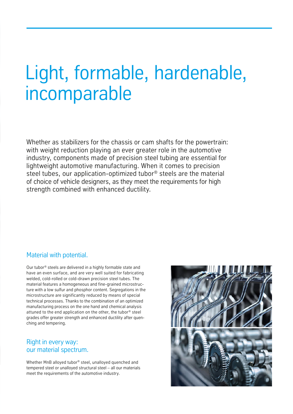# Light, formable, hardenable, incomparable

Whether as stabilizers for the chassis or cam shafts for the powertrain: with weight reduction playing an ever greater role in the automotive industry, components made of precision steel tubing are essential for lightweight automotive manufacturing. When it comes to precision steel tubes, our application-optimized tubor® steels are the material of choice of vehicle designers, as they meet the requirements for high strength combined with enhanced ductility.

### Material with potential.

Our tubor® steels are delivered in a highly formable state and have an even surface, and are very well suited for fabricating welded, cold-rolled or cold-drawn precision steel tubes. The material features a homogeneous and fine-grained microstructure with a low sulfur and phosphor content. Segregations in the microstructure are significantly reduced by means of special technical processes. Thanks to the combination of an optimized manufacturing process on the one hand and chemical analysis attuned to the end application on the other, the tubor® steel grades offer greater strength and enhanced ductility after quenching and tempering.

### Right in every way: our material spectrum.

Whether MnB alloyed tubor® steel, unalloyed quenched and tempered steel or unalloyed structural steel – all our materials meet the requirements of the automotive industry.

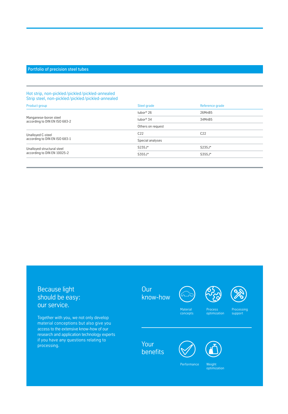#### Portfolio of precision steel tubes

#### Hot strip, non-pickled /pickled /pickled-annealed Strip steel, non-pickled /pickled /pickled-annealed

| Product group                                             | Steel grade           | Reference grade |
|-----------------------------------------------------------|-----------------------|-----------------|
| Manganese-boron steel<br>according to DIN EN ISO 683-2    | tubor® 26             | 26MnB5          |
|                                                           | tubor <sup>®</sup> 34 | 34MnB5          |
|                                                           | Others on request     |                 |
| Unalloyed C-steel<br>according to DIN EN ISO 683-1        | C <sub>22</sub>       | C <sub>22</sub> |
|                                                           | Special analyses      |                 |
| Unalloyed structural steel<br>according to DIN EN 10025-2 | $S235J*$              | $S235J*$        |
|                                                           | $S355J*$              | $S355J*$        |
|                                                           |                       |                 |

## Because light should be easy: our service.

Together with you, we not only develop material conceptions but also give you access to the extensive know-how of our research and application technology experts if you have any questions relating to processing.









**Material** concepts **Process** optimization **Processing** support

Your **benefits** 



Weight optimization